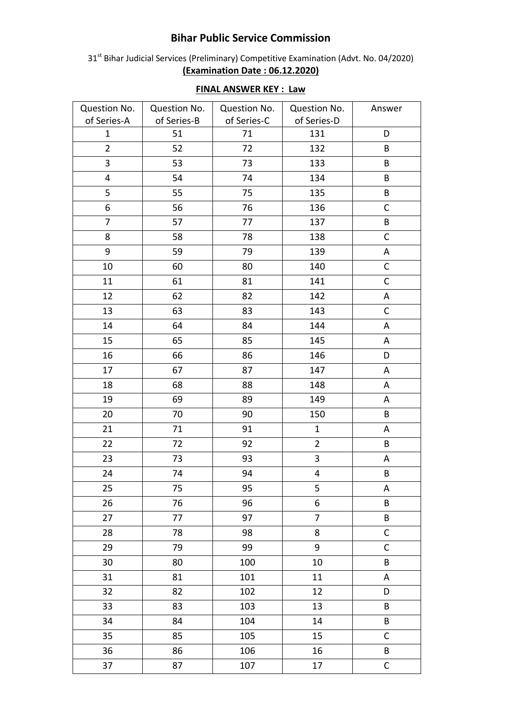## **Bihar Public Service Commission**

31<sup>st</sup> Bihar Judicial Services (Preliminary) Competitive Examination (Advt. No. 04/2020) **(Examination Date : 06.12.2020)**

| Question No.            | Question No. | Question No. | Question No.            | Answer       |
|-------------------------|--------------|--------------|-------------------------|--------------|
| of Series-A             | of Series-B  | of Series-C  | of Series-D             |              |
| $\mathbf{1}$            | 51           | 71           | 131                     | D            |
| $\overline{2}$          | 52           | 72           | 132                     | B            |
| 3                       | 53           | 73           | 133                     | B            |
| $\overline{\mathbf{4}}$ | 54           | 74           | 134                     | B            |
| 5                       | 55           | 75           | 135                     | B            |
| 6                       | 56           | 76           | 136                     | $\mathsf C$  |
| $\overline{7}$          | 57           | 77           | 137                     | B            |
| 8                       | 58           | 78           | 138                     | $\mathsf C$  |
| 9                       | 59           | 79           | 139                     | $\mathsf A$  |
| 10                      | 60           | 80           | 140                     | $\mathsf C$  |
| 11                      | 61           | 81           | 141                     | $\mathsf C$  |
| 12                      | 62           | 82           | 142                     | A            |
| 13                      | 63           | 83           | 143                     | $\mathsf C$  |
| 14                      | 64           | 84           | 144                     | A            |
| 15                      | 65           | 85           | 145                     | A            |
| 16                      | 66           | 86           | 146                     | D            |
| 17                      | 67           | 87           | 147                     | A            |
| 18                      | 68           | 88           | 148                     | A            |
| 19                      | 69           | 89           | 149                     | A            |
| 20                      | 70           | 90           | 150                     | B            |
| 21                      | 71           | 91           | $\mathbf{1}$            | A            |
| 22                      | 72           | 92           | $\overline{2}$          | B            |
| 23                      | 73           | 93           | $\overline{\mathbf{3}}$ | A            |
| 24                      | 74           | 94           | $\overline{\mathbf{4}}$ | B            |
| 25                      | 75           | 95           | 5                       | Α            |
| 26                      | 76           | 96           | 6                       | B            |
| 27                      | 77           | 97           | $\overline{7}$          | B            |
| 28                      | 78           | 98           | 8                       | $\mathsf C$  |
| 29                      | 79           | 99           | 9                       | $\mathsf C$  |
| 30                      | 80           | 100          | 10                      | B            |
| 31                      | 81           | 101          | 11                      | A            |
| 32                      | 82           | 102          | 12                      | D            |
| 33                      | 83           | 103          | 13                      | B            |
| 34                      | 84           | 104          | 14                      | B            |
| 35                      | 85           | 105          | 15                      | C            |
| 36                      | 86           | 106          | 16                      | B            |
| 37                      | 87           | 107          | 17                      | $\mathsf{C}$ |

## **FINAL ANSWER KEY : Law**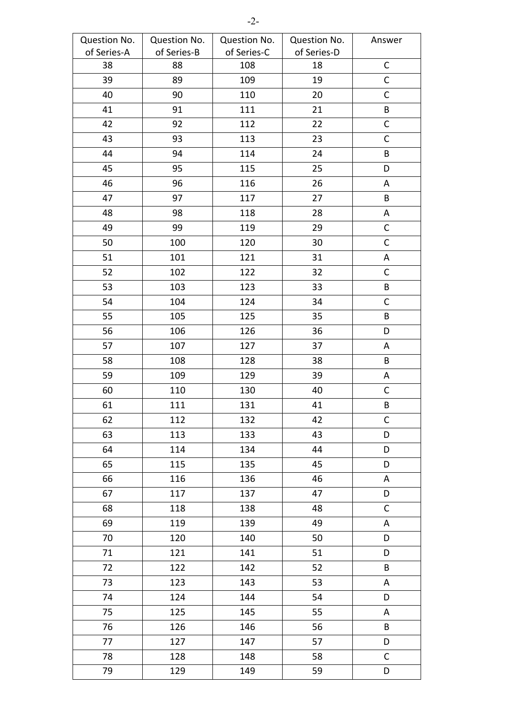| Question No. | Question No. | Question No. | Question No. | Answer      |
|--------------|--------------|--------------|--------------|-------------|
| of Series-A  | of Series-B  | of Series-C  | of Series-D  |             |
| 38           | 88           | 108          | 18           | $\mathsf C$ |
| 39           | 89           | 109          | 19           | $\mathsf C$ |
| 40           | 90           | 110          | 20           | $\mathsf C$ |
| 41           | 91           | 111          | 21           | $\sf{B}$    |
| 42           | 92           | 112          | 22           | $\mathsf C$ |
| 43           | 93           | 113          | 23           | $\mathsf C$ |
| 44           | 94           | 114          | 24           | $\sf{B}$    |
| 45           | 95           | 115          | 25           | D           |
| 46           | 96           | 116          | 26           | A           |
| 47           | 97           | 117          | 27           | B           |
| 48           | 98           | 118          | 28           | Α           |
| 49           | 99           | 119          | 29           | C           |
| 50           | 100          | 120          | 30           | $\mathsf C$ |
| 51           | 101          | 121          | 31           | A           |
| 52           | 102          | 122          | 32           | $\mathsf C$ |
| 53           | 103          | 123          | 33           | B           |
| 54           | 104          | 124          | 34           | $\mathsf C$ |
| 55           | 105          | 125          | 35           | B           |
| 56           | 106          | 126          | 36           | D           |
| 57           | 107          | 127          | 37           | A           |
| 58           | 108          | 128          | 38           | B           |
| 59           | 109          | 129          | 39           | A           |
| 60           | 110          | 130          | 40           | $\mathsf C$ |
| 61           | 111          | 131          | 41           | B           |
| 62           | 112          | 132          | 42           | $\mathsf C$ |
| 63           | 113          | 133          | 43           | D           |
| 64           | 114          | 134          | 44           | D           |
| 65           | 115          | 135          | 45           | D           |
| 66           | 116          | 136          | 46           | A           |
| 67           | 117          | 137          | 47           | D           |
| 68           | 118          | 138          | 48           | $\mathsf C$ |
| 69           | 119          | 139          | 49           | A           |
| 70           | 120          | 140          | 50           | D           |
| 71           | 121          | 141          | 51           | D           |
| 72           | 122          | 142          | 52           | B           |
| 73           | 123          | 143          | 53           | A           |
| 74           | 124          | 144          | 54           | D           |
| 75           | 125          | 145          | 55           | A           |
| 76           | 126          | 146          | 56           | B           |
| 77           | 127          | 147          | 57           | D           |
| 78           | 128          | 148          | 58           | $\mathsf C$ |
| 79           | 129          | 149          | 59           | D           |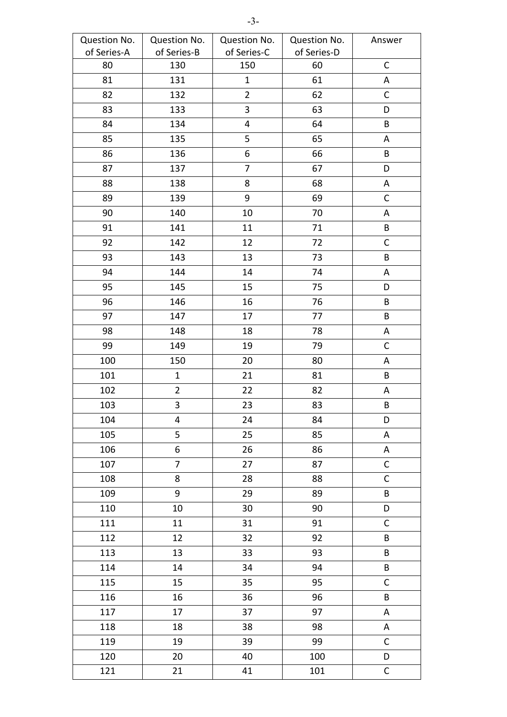| Question No. | Question No.   | Question No.   | Question No. | Answer       |
|--------------|----------------|----------------|--------------|--------------|
| of Series-A  | of Series-B    | of Series-C    | of Series-D  |              |
| 80           | 130            | 150            | 60           | $\mathsf C$  |
| 81           | 131            | $\mathbf{1}$   | 61           | Α            |
| 82           | 132            | $\overline{2}$ | 62           | C            |
| 83           | 133            | 3              | 63           | D            |
| 84           | 134            | 4              | 64           | B            |
| 85           | 135            | 5              | 65           | A            |
| 86           | 136            | 6              | 66           | $\sf{B}$     |
| 87           | 137            | $\overline{7}$ | 67           | D            |
| 88           | 138            | 8              | 68           | A            |
| 89           | 139            | $9\,$          | 69           | $\mathsf C$  |
| 90           | 140            | 10             | 70           | Α            |
| 91           | 141            | 11             | 71           | B            |
| 92           | 142            | 12             | 72           | $\mathsf{C}$ |
| 93           | 143            | 13             | 73           | B            |
| 94           | 144            | 14             | 74           | Α            |
| 95           | 145            | 15             | 75           | D            |
| 96           | 146            | 16             | 76           | B            |
| 97           | 147            | 17             | 77           | B            |
| 98           | 148            | 18             | 78           | Α            |
| 99           | 149            | 19             | 79           | $\mathsf C$  |
| 100          | 150            | 20             | 80           | A            |
| 101          | $\mathbf{1}$   | 21             | 81           | B            |
| 102          | $\overline{2}$ | 22             | 82           | A            |
| 103          | 3              | 23             | 83           | B            |
| 104          | 4              | 24             | 84           | D            |
| 105          | 5              | 25             | 85           | A            |
| 106          | 6              | 26             | 86           | A            |
| 107          | $\overline{7}$ | 27             | 87           | $\mathsf{C}$ |
| 108          | 8              | 28             | 88           | $\mathsf C$  |
| 109          | 9              | 29             | 89           | $\sf{B}$     |
| 110          | 10             | 30             | 90           | D            |
| 111          | 11             | 31             | 91           | $\mathsf C$  |
| 112          | 12             | 32             | 92           | B            |
| 113          | 13             | 33             | 93           | $\sf{B}$     |
| 114          | 14             | 34             | 94           | B            |
| 115          | 15             | 35             | 95           | $\mathsf{C}$ |
| 116          | 16             | 36             | 96           | $\sf{B}$     |
| 117          | 17             | 37             | 97           | A            |
| 118          | 18             | 38             | 98           | A            |
| 119          | 19             | 39             | 99           | C            |
| 120          | 20             | 40             | 100          | D            |
| 121          | 21             | 41             | 101          | $\mathsf C$  |